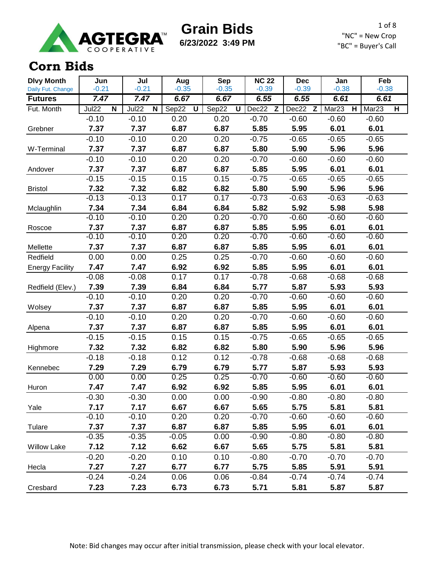

**6/23/2022 3:49 PM**

1 of 8 "NC" = New Crop "BC" = Buyer's Call

#### **Corn Bids**

| <b>Dlvy Month</b>      | Jun             | Jul             | Aug          | <b>Sep</b>   | <b>NC 22</b>    | <b>Dec</b>      | Jan                                          | Feb                                          |
|------------------------|-----------------|-----------------|--------------|--------------|-----------------|-----------------|----------------------------------------------|----------------------------------------------|
| Daily Fut. Change      | $-0.21$         | $-0.21$         | $-0.35$      | $-0.35$      | $-0.39$         | $-0.39$         | $-0.38$                                      | $-0.38$                                      |
| <b>Futures</b>         | 7.47            | 7.47            | 6.67         | 6.67         | 6.55            | 6.55            | 6.61                                         | 6.61                                         |
| Fut. Month             | Jul22<br>N      | Jul22<br>N      | Sep22<br>U   | Sep22<br>U   | Dec22<br>Z      | Dec22<br>Z      | Mar <sub>23</sub><br>$\overline{\mathbf{H}}$ | Mar <sub>23</sub><br>$\overline{\mathsf{H}}$ |
|                        | $-0.10$         | $-0.10$         | 0.20         | 0.20         | $-0.70$         | $-0.60$         | $-0.60$                                      | $-0.60$                                      |
| Grebner                | 7.37            | 7.37            | 6.87         | 6.87         | 5.85            | 5.95            | 6.01                                         | 6.01                                         |
|                        | $-0.10$         | $-0.10$         | 0.20         | 0.20         | $-0.75$         | $-0.65$         | $-0.65$                                      | $-0.65$                                      |
| W-Terminal             | 7.37            | 7.37            | 6.87         | 6.87         | 5.80            | 5.90            | 5.96                                         | 5.96                                         |
|                        | $-0.10$         | $-0.10$         | 0.20         | 0.20         | $-0.70$         | $-0.60$         | $-0.60$                                      | $-0.60$                                      |
| Andover                | 7.37            | 7.37            | 6.87         | 6.87         | 5.85            | 5.95            | 6.01                                         | 6.01                                         |
|                        | $-0.15$         | $-0.15$         | 0.15         | 0.15         | $-0.75$         | $-0.65$         | $-0.65$                                      | $-0.65$                                      |
| <b>Bristol</b>         | 7.32            | 7.32            | 6.82         | 6.82         | 5.80            | 5.90            | 5.96                                         | 5.96                                         |
|                        | $-0.13$         | $-0.13$         | 0.17         | 0.17         | $-0.73$         | $-0.63$         | $-0.63$                                      | $-0.63$                                      |
| Mclaughlin             | 7.34<br>$-0.10$ | 7.34<br>$-0.10$ | 6.84<br>0.20 | 6.84<br>0.20 | 5.82<br>$-0.70$ | 5.92<br>$-0.60$ | 5.98<br>$-0.60$                              | 5.98<br>$-0.60$                              |
|                        | 7.37            | 7.37            |              |              |                 | 5.95            |                                              |                                              |
| Roscoe                 | $-0.10$         | $-0.10$         | 6.87<br>0.20 | 6.87<br>0.20 | 5.85<br>$-0.70$ | $-0.60$         | 6.01<br>$-0.60$                              | 6.01<br>$-0.60$                              |
|                        | 7.37            | 7.37            | 6.87         | 6.87         | 5.85            | 5.95            | 6.01                                         | 6.01                                         |
| Mellette               |                 |                 |              |              |                 |                 |                                              |                                              |
| Redfield               | 0.00            | 0.00            | 0.25         | 0.25         | $-0.70$         | $-0.60$         | $-0.60$                                      | $-0.60$                                      |
| <b>Energy Facility</b> | 7.47            | 7.47            | 6.92         | 6.92         | 5.85            | 5.95            | 6.01                                         | 6.01                                         |
|                        | $-0.08$         | $-0.08$         | 0.17         | 0.17         | $-0.78$         | $-0.68$         | $-0.68$                                      | $-0.68$                                      |
| Redfield (Elev.)       | 7.39            | 7.39            | 6.84         | 6.84         | 5.77            | 5.87            | 5.93                                         | 5.93                                         |
|                        | $-0.10$         | $-0.10$         | 0.20         | 0.20         | $-0.70$         | $-0.60$         | $-0.60$                                      | $-0.60$                                      |
| Wolsey                 | 7.37            | 7.37            | 6.87         | 6.87         | 5.85            | 5.95            | 6.01                                         | 6.01                                         |
|                        | $-0.10$         | $-0.10$         | 0.20         | 0.20         | $-0.70$         | $-0.60$         | $-0.60$                                      | $-0.60$                                      |
| Alpena                 | 7.37            | 7.37            | 6.87         | 6.87         | 5.85            | 5.95            | 6.01                                         | 6.01                                         |
|                        | $-0.15$         | $-0.15$         | 0.15         | 0.15         | $-0.75$         | $-0.65$         | $-0.65$                                      | $-0.65$                                      |
| Highmore               | 7.32            | 7.32            | 6.82         | 6.82         | 5.80            | 5.90            | 5.96                                         | 5.96                                         |
|                        | $-0.18$         | $-0.18$         | 0.12         | 0.12         | $-0.78$         | $-0.68$         | $-0.68$                                      | $-0.68$                                      |
| Kennebec               | 7.29            | 7.29            | 6.79         | 6.79         | 5.77            | 5.87            | 5.93                                         | 5.93                                         |
|                        | 0.00            | 0.00            | 0.25         | 0.25         | $-0.70$         | $-0.60$         | $-0.60$                                      | $-0.60$                                      |
| Huron                  | 7.47            | 7.47            | 6.92         | 6.92         | 5.85            | 5.95            | 6.01                                         | 6.01                                         |
|                        | $-0.30$         | $-0.30$         | 0.00         | 0.00         | $-0.90$         | $-0.80$         | $-0.80$                                      | $-0.80$                                      |
| Yale                   | 7.17            | 7.17            | 6.67         | 6.67         | 5.65            | 5.75            | 5.81                                         | 5.81                                         |
|                        | $-0.10$         | $-0.10$         | 0.20         | 0.20         | $-0.70$         | $-0.60$         | $-0.60$                                      | $-0.60$                                      |
| Tulare                 | 7.37            | 7.37            | 6.87         | 6.87         | 5.85            | 5.95            | 6.01                                         | 6.01                                         |
|                        | $-0.35$         | $-0.35$         | $-0.05$      | 0.00         | $-0.90$         | $-0.80$         | $-0.80$                                      | $-0.80$                                      |
| <b>Willow Lake</b>     | 7.12            | 7.12            | 6.62         | 6.67         | 5.65            | 5.75            | 5.81                                         | 5.81                                         |
|                        | $-0.20$         | $-0.20$         | 0.10         | 0.10         | $-0.80$         | $-0.70$         | $-0.70$                                      | $-0.70$                                      |
| Hecla                  | 7.27            | 7.27            | 6.77         | 6.77         | 5.75            | 5.85            | 5.91                                         | 5.91                                         |
|                        | $-0.24$         | $-0.24$         | 0.06         | 0.06         | $-0.84$         | $-0.74$         | $-0.74$                                      | $-0.74$                                      |
| Cresbard               | 7.23            | 7.23            | 6.73         | 6.73         | 5.71            | 5.81            | 5.87                                         | 5.87                                         |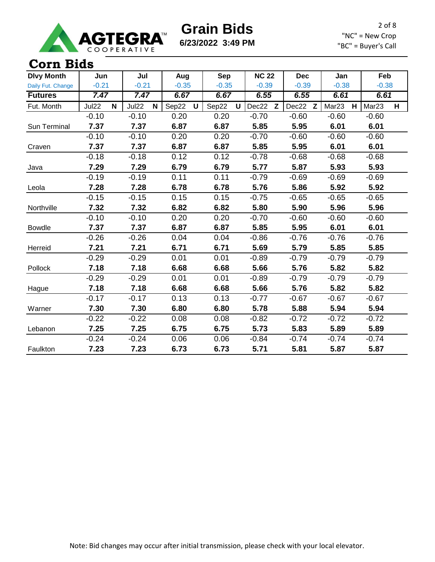

**6/23/2022 3:49 PM**

2 of 8 "NC" = New Crop "BC" = Buyer's Call

#### **Corn Bids**

| <b>Dlvy Month</b> | Jun        | Jul                  | Aug        | <b>Sep</b>           | <b>NC 22</b> | <b>Dec</b> | Jan                    | Feb                    |
|-------------------|------------|----------------------|------------|----------------------|--------------|------------|------------------------|------------------------|
| Daily Fut. Change | $-0.21$    | $-0.21$              | $-0.35$    | $-0.35$              | $-0.39$      | $-0.39$    | $-0.38$                | $-0.38$                |
| <b>Futures</b>    | 7.47       | 7.47                 | 6.67       | 6.67                 | 6.55         | 6.55       | 6.61                   | 6.61                   |
| Fut. Month        | Jul22<br>N | Jul22<br>$\mathbf N$ | Sep22<br>U | Sep22<br>$\mathbf U$ | Dec22<br>Z   | Dec22 Z    | Mar <sub>23</sub><br>H | Mar <sub>23</sub><br>H |
|                   | $-0.10$    | $-0.10$              | 0.20       | 0.20                 | $-0.70$      | $-0.60$    | $-0.60$                | $-0.60$                |
| Sun Terminal      | 7.37       | 7.37                 | 6.87       | 6.87                 | 5.85         | 5.95       | 6.01                   | 6.01                   |
|                   | $-0.10$    | $-0.10$              | 0.20       | 0.20                 | $-0.70$      | $-0.60$    | $-0.60$                | $-0.60$                |
| Craven            | 7.37       | 7.37                 | 6.87       | 6.87                 | 5.85         | 5.95       | 6.01                   | 6.01                   |
|                   | $-0.18$    | $-0.18$              | 0.12       | 0.12                 | $-0.78$      | $-0.68$    | $-0.68$                | $-0.68$                |
| Java              | 7.29       | 7.29                 | 6.79       | 6.79                 | 5.77         | 5.87       | 5.93                   | 5.93                   |
|                   | $-0.19$    | $-0.19$              | 0.11       | 0.11                 | $-0.79$      | $-0.69$    | $-0.69$                | $-0.69$                |
| Leola             | 7.28       | 7.28                 | 6.78       | 6.78                 | 5.76         | 5.86       | 5.92                   | 5.92                   |
|                   | $-0.15$    | $-0.15$              | 0.15       | 0.15                 | $-0.75$      | $-0.65$    | $-0.65$                | $-0.65$                |
| Northville        | 7.32       | 7.32                 | 6.82       | 6.82                 | 5.80         | 5.90       | 5.96                   | 5.96                   |
|                   | $-0.10$    | $-0.10$              | 0.20       | 0.20                 | $-0.70$      | $-0.60$    | $-0.60$                | $-0.60$                |
| <b>Bowdle</b>     | 7.37       | 7.37                 | 6.87       | 6.87                 | 5.85         | 5.95       | 6.01                   | 6.01                   |
|                   | $-0.26$    | $-0.26$              | 0.04       | 0.04                 | $-0.86$      | $-0.76$    | $-0.76$                | $-0.76$                |
| Herreid           | 7.21       | 7.21                 | 6.71       | 6.71                 | 5.69         | 5.79       | 5.85                   | 5.85                   |
|                   | $-0.29$    | $-0.29$              | 0.01       | 0.01                 | $-0.89$      | $-0.79$    | $-0.79$                | $-0.79$                |
| Pollock           | 7.18       | 7.18                 | 6.68       | 6.68                 | 5.66         | 5.76       | 5.82                   | 5.82                   |
|                   | $-0.29$    | $-0.29$              | 0.01       | 0.01                 | $-0.89$      | $-0.79$    | $-0.79$                | $-0.79$                |
| Hague             | 7.18       | 7.18                 | 6.68       | 6.68                 | 5.66         | 5.76       | 5.82                   | 5.82                   |
|                   | $-0.17$    | $-0.17$              | 0.13       | 0.13                 | $-0.77$      | $-0.67$    | $-0.67$                | $-0.67$                |
| Warner            | 7.30       | 7.30                 | 6.80       | 6.80                 | 5.78         | 5.88       | 5.94                   | 5.94                   |
|                   | $-0.22$    | $-0.22$              | 0.08       | 0.08                 | $-0.82$      | $-0.72$    | $-0.72$                | $-0.72$                |
| Lebanon           | 7.25       | 7.25                 | 6.75       | 6.75                 | 5.73         | 5.83       | 5.89                   | 5.89                   |
|                   | $-0.24$    | $-0.24$              | 0.06       | 0.06                 | $-0.84$      | $-0.74$    | $-0.74$                | $-0.74$                |
| Faulkton          | 7.23       | 7.23                 | 6.73       | 6.73                 | 5.71         | 5.81       | 5.87                   | 5.87                   |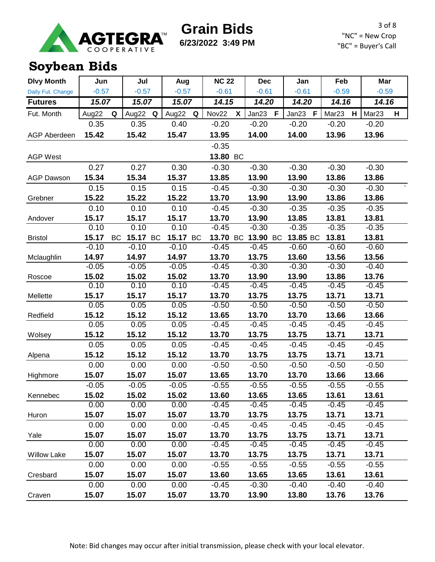

**6/23/2022 3:49 PM**

3 of 8 "NC" = New Crop "BC" = Buyer's Call

# **Soybean Bids**

| <b>Dlvy Month</b>   | Jun     |           | Jul     |           | Aug     |    | <b>NC 22</b> |    | <b>Dec</b> |   | Jan                   | Feb               |   | Mar               |   |
|---------------------|---------|-----------|---------|-----------|---------|----|--------------|----|------------|---|-----------------------|-------------------|---|-------------------|---|
| Daily Fut. Change   | $-0.57$ |           | $-0.57$ |           | $-0.57$ |    | $-0.61$      |    | $-0.61$    |   | $-0.61$               | $-0.59$           |   | $-0.59$           |   |
| <b>Futures</b>      | 15.07   |           | 15.07   |           | 15.07   |    | 14.15        |    | 14.20      |   | 14.20                 | 14.16             |   | 14.16             |   |
| Fut. Month          | Aug22   | Q         | Aug22   | Q         | Aug22   | Q  | Nov22        | X  | Jan23      | F | $\mathsf{F}$<br>Jan23 | Mar <sub>23</sub> | H | Mar <sub>23</sub> | H |
|                     | 0.35    |           | 0.35    |           | 0.40    |    | $-0.20$      |    | $-0.20$    |   | $-0.20$               | $-0.20$           |   | $-0.20$           |   |
| <b>AGP Aberdeen</b> | 15.42   |           | 15.42   |           | 15.47   |    | 13.95        |    | 14.00      |   | 14.00                 | 13.96             |   | 13.96             |   |
|                     |         |           |         |           |         |    | $-0.35$      |    |            |   |                       |                   |   |                   |   |
| <b>AGP West</b>     |         |           |         |           |         |    | 13.80 BC     |    |            |   |                       |                   |   |                   |   |
|                     | 0.27    |           | 0.27    |           | 0.30    |    | $-0.30$      |    | $-0.30$    |   | $-0.30$               | $-0.30$           |   | $-0.30$           |   |
| <b>AGP Dawson</b>   | 15.34   |           | 15.34   |           | 15.37   |    | 13.85        |    | 13.90      |   | 13.90                 | 13.86             |   | 13.86             |   |
|                     | 0.15    |           | 0.15    |           | 0.15    |    | $-0.45$      |    | $-0.30$    |   | $-0.30$               | $-0.30$           |   | $-0.30$           |   |
| Grebner             | 15.22   |           | 15.22   |           | 15.22   |    | 13.70        |    | 13.90      |   | 13.90                 | 13.86             |   | 13.86             |   |
|                     | 0.10    |           | 0.10    |           | 0.10    |    | $-0.45$      |    | $-0.30$    |   | $-0.35$               | $-0.35$           |   | $-0.35$           |   |
| Andover             | 15.17   |           | 15.17   |           | 15.17   |    | 13.70        |    | 13.90      |   | 13.85                 | 13.81             |   | 13.81             |   |
|                     | 0.10    |           | 0.10    |           | 0.10    |    | $-0.45$      |    | $-0.30$    |   | $-0.35$               | $-0.35$           |   | $-0.35$           |   |
| <b>Bristol</b>      | 15.17   | <b>BC</b> | 15.17   | <b>BC</b> | 15.17   | BC | 13.70        | BC | 13.90 BC   |   | 13.85 BC              | 13.81             |   | 13.81             |   |
|                     | $-0.10$ |           | $-0.10$ |           | $-0.10$ |    | $-0.45$      |    | $-0.45$    |   | $-0.60$               | $-0.60$           |   | $-0.60$           |   |
| Mclaughlin          | 14.97   |           | 14.97   |           | 14.97   |    | 13.70        |    | 13.75      |   | 13.60                 | 13.56             |   | 13.56             |   |
|                     | $-0.05$ |           | $-0.05$ |           | $-0.05$ |    | $-0.45$      |    | $-0.30$    |   | $-0.30$               | $-0.30$           |   | $-0.40$           |   |
| Roscoe              | 15.02   |           | 15.02   |           | 15.02   |    | 13.70        |    | 13.90      |   | 13.90                 | 13.86             |   | 13.76             |   |
|                     | 0.10    |           | 0.10    |           | 0.10    |    | $-0.45$      |    | $-0.45$    |   | $-0.45$               | $-0.45$           |   | $-0.45$           |   |
| Mellette            | 15.17   |           | 15.17   |           | 15.17   |    | 13.70        |    | 13.75      |   | 13.75                 | 13.71             |   | 13.71             |   |
|                     | 0.05    |           | 0.05    |           | 0.05    |    | $-0.50$      |    | $-0.50$    |   | $-0.50$               | $-0.50$           |   | $-0.50$           |   |
| Redfield            | 15.12   |           | 15.12   |           | 15.12   |    | 13.65        |    | 13.70      |   | 13.70                 | 13.66             |   | 13.66             |   |
|                     | 0.05    |           | 0.05    |           | 0.05    |    | $-0.45$      |    | $-0.45$    |   | $-0.45$               | $-0.45$           |   | $-0.45$           |   |
| Wolsey              | 15.12   |           | 15.12   |           | 15.12   |    | 13.70        |    | 13.75      |   | 13.75                 | 13.71             |   | 13.71             |   |
|                     | 0.05    |           | 0.05    |           | 0.05    |    | $-0.45$      |    | $-0.45$    |   | $-0.45$               | $-0.45$           |   | $-0.45$           |   |
| Alpena              | 15.12   |           | 15.12   |           | 15.12   |    | 13.70        |    | 13.75      |   | 13.75                 | 13.71             |   | 13.71             |   |
|                     | 0.00    |           | 0.00    |           | 0.00    |    | $-0.50$      |    | $-0.50$    |   | $-0.50$               | $-0.50$           |   | $-0.50$           |   |
| Highmore            | 15.07   |           | 15.07   |           | 15.07   |    | 13.65        |    | 13.70      |   | 13.70                 | 13.66             |   | 13.66             |   |
|                     | $-0.05$ |           | $-0.05$ |           | $-0.05$ |    | $-0.55$      |    | $-0.55$    |   | $-0.55$               | $-0.55$           |   | $-0.55$           |   |
| Kennebec            | 15.02   |           | 15.02   |           | 15.02   |    | 13.60        |    | 13.65      |   | 13.65                 | 13.61             |   | 13.61             |   |
|                     | 0.00    |           | 0.00    |           | 0.00    |    | $-0.45$      |    | $-0.45$    |   | $-0.45$               | $-0.45$           |   | $-0.45$           |   |
| Huron               | 15.07   |           | 15.07   |           | 15.07   |    | 13.70        |    | 13.75      |   | 13.75                 | 13.71             |   | 13.71             |   |
|                     | 0.00    |           | 0.00    |           | 0.00    |    | $-0.45$      |    | $-0.45$    |   | $-0.45$               | $-0.45$           |   | $-0.45$           |   |
| Yale                | 15.07   |           | 15.07   |           | 15.07   |    | 13.70        |    | 13.75      |   | 13.75                 | 13.71             |   | 13.71             |   |
|                     | 0.00    |           | 0.00    |           | 0.00    |    | $-0.45$      |    | $-0.45$    |   | $-0.45$               | $-0.45$           |   | $-0.45$           |   |
| <b>Willow Lake</b>  | 15.07   |           | 15.07   |           | 15.07   |    | 13.70        |    | 13.75      |   | 13.75                 | 13.71             |   | 13.71             |   |
|                     | 0.00    |           | 0.00    |           | 0.00    |    | $-0.55$      |    | $-0.55$    |   | $-0.55$               | $-0.55$           |   | $-0.55$           |   |
| Cresbard            | 15.07   |           | 15.07   |           | 15.07   |    | 13.60        |    | 13.65      |   | 13.65                 | 13.61             |   | 13.61             |   |
|                     | 0.00    |           | 0.00    |           | 0.00    |    | $-0.45$      |    | $-0.30$    |   | $-0.40$               | $-0.40$           |   | $-0.40$           |   |
| Craven              | 15.07   |           | 15.07   |           | 15.07   |    | 13.70        |    | 13.90      |   | 13.80                 | 13.76             |   | 13.76             |   |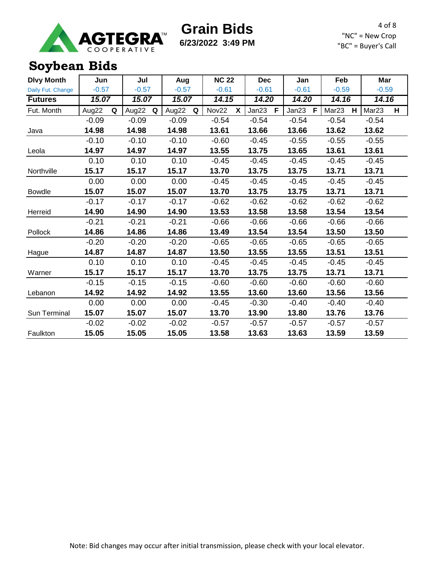

**6/23/2022 3:49 PM**

4 of 8 "NC" = New Crop "BC" = Buyer's Call

### **Soybean Bids**

| <b>Dlvy Month</b> | Jun        | Jul        | Aug        | <b>NC 22</b> | <b>Dec</b>     | Jan        | Feb                    | Mar                    |
|-------------------|------------|------------|------------|--------------|----------------|------------|------------------------|------------------------|
| Daily Fut. Change | $-0.57$    | $-0.57$    | $-0.57$    | $-0.61$      | $-0.61$        | $-0.61$    | $-0.59$                | $-0.59$                |
| <b>Futures</b>    | 15.07      | 15.07      | 15.07      | 14.15        | 14.20<br>14.20 |            | 14.16                  | 14.16                  |
| Fut. Month        | Aug22<br>Q | Aug22<br>Q | Aug22<br>Q | Nov22<br>X   | Jan23<br>F     | Jan23<br>F | Mar <sub>23</sub><br>H | Mar <sub>23</sub><br>H |
|                   | $-0.09$    | $-0.09$    | $-0.09$    | $-0.54$      | $-0.54$        | $-0.54$    | $-0.54$                | $-0.54$                |
| Java              | 14.98      | 14.98      | 14.98      | 13.61        | 13.66          | 13.66      | 13.62                  | 13.62                  |
|                   | $-0.10$    | $-0.10$    | $-0.10$    | $-0.60$      | $-0.45$        | $-0.55$    | $-0.55$                | $-0.55$                |
| Leola             | 14.97      | 14.97      | 14.97      | 13.55        | 13.75          | 13.65      | 13.61                  | 13.61                  |
|                   | 0.10       | 0.10       | 0.10       | $-0.45$      | $-0.45$        | $-0.45$    | $-0.45$                | $-0.45$                |
| Northville        | 15.17      | 15.17      | 15.17      | 13.70        | 13.75          | 13.75      | 13.71                  | 13.71                  |
|                   | 0.00       | 0.00       | 0.00       | $-0.45$      | $-0.45$        | $-0.45$    | $-0.45$                | $-0.45$                |
| <b>Bowdle</b>     | 15.07      | 15.07      | 15.07      | 13.70        | 13.75          | 13.75      | 13.71                  | 13.71                  |
|                   | $-0.17$    | $-0.17$    | $-0.17$    | $-0.62$      | $-0.62$        | $-0.62$    | $-0.62$                | $-0.62$                |
| Herreid           | 14.90      | 14.90      | 14.90      | 13.53        | 13.58          | 13.58      | 13.54                  | 13.54                  |
|                   | $-0.21$    | $-0.21$    | $-0.21$    | $-0.66$      | $-0.66$        | $-0.66$    | $-0.66$                | $-0.66$                |
| Pollock           | 14.86      | 14.86      | 14.86      | 13.49        | 13.54          | 13.54      | 13.50                  | 13.50                  |
|                   | $-0.20$    | $-0.20$    | $-0.20$    | $-0.65$      | $-0.65$        | $-0.65$    | $-0.65$                | $-0.65$                |
| Hague             | 14.87      | 14.87      | 14.87      | 13.50        | 13.55          | 13.55      | 13.51                  | 13.51                  |
|                   | 0.10       | 0.10       | 0.10       | $-0.45$      | $-0.45$        | $-0.45$    | $-0.45$                | $-0.45$                |
| Warner            | 15.17      | 15.17      | 15.17      | 13.70        | 13.75          | 13.75      | 13.71                  | 13.71                  |
|                   | $-0.15$    | $-0.15$    | $-0.15$    | $-0.60$      | $-0.60$        | $-0.60$    | $-0.60$                | $-0.60$                |
| Lebanon           | 14.92      | 14.92      | 14.92      | 13.55        | 13.60          | 13.60      | 13.56                  | 13.56                  |
|                   | 0.00       | 0.00       | 0.00       | $-0.45$      | $-0.30$        | $-0.40$    | $-0.40$                | $-0.40$                |
| Sun Terminal      | 15.07      | 15.07      | 15.07      | 13.70        | 13.90          | 13.80      | 13.76                  | 13.76                  |
|                   | $-0.02$    | $-0.02$    | $-0.02$    | $-0.57$      | $-0.57$        | $-0.57$    | $-0.57$                | $-0.57$                |
| Faulkton          | 15.05      | 15.05      | 15.05      | 13.58        | 13.63          | 13.63      | 13.59                  | 13.59                  |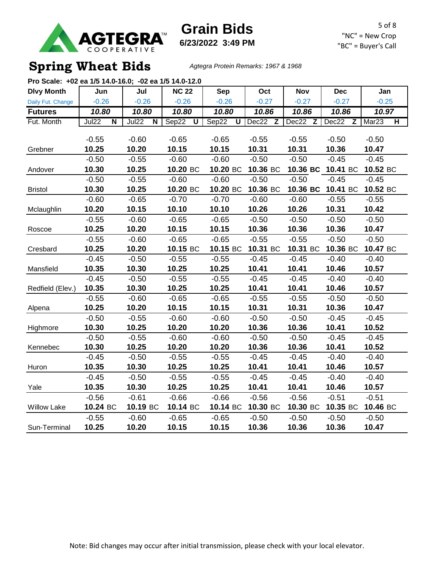

**6/23/2022 3:49 PM**

# **Spring Wheat Bids** *Agtegra Protein Remarks: 1967 & 1968*

| Pro Scale: +02 ea 1/5 14.0-16.0; -02 ea 1/5 14.0-12.0 |                                  |                                  |              |            |          |            |                       |                                              |
|-------------------------------------------------------|----------------------------------|----------------------------------|--------------|------------|----------|------------|-----------------------|----------------------------------------------|
| <b>Dlvy Month</b>                                     | Jun                              | Jul                              | <b>NC 22</b> | <b>Sep</b> | Oct      | <b>Nov</b> | <b>Dec</b>            | Jan                                          |
| Daily Fut. Change                                     | $-0.26$                          | $-0.26$                          | $-0.26$      | $-0.26$    | $-0.27$  | $-0.27$    | $-0.27$               | $-0.25$                                      |
| <b>Futures</b>                                        | 10.80                            | 10.80                            | 10.80        | 10.80      | 10.86    | 10.86      | 10.86                 | 10.97                                        |
| Fut. Month                                            | Jul22<br>$\overline{\mathsf{N}}$ | Jul22<br>$\overline{\mathsf{N}}$ | Sep22<br>ับ  | Sep22<br>ण | Dec22 Z  | Dec22 Z    | Dec22<br>$\mathsf{Z}$ | Mar <sub>23</sub><br>$\overline{\mathsf{H}}$ |
|                                                       |                                  |                                  |              |            |          |            |                       |                                              |
|                                                       | $-0.55$                          | $-0.60$                          | $-0.65$      | $-0.65$    | $-0.55$  | $-0.55$    | $-0.50$               | $-0.50$                                      |
| Grebner                                               | 10.25                            | 10.20                            | 10.15        | 10.15      | 10.31    | 10.31      | 10.36                 | 10.47                                        |
|                                                       | $-0.50$                          | $-0.55$                          | $-0.60$      | $-0.60$    | $-0.50$  | $-0.50$    | $-0.45$               | $-0.45$                                      |
| Andover                                               | 10.30                            | 10.25                            | 10.20 BC     | 10.20 BC   | 10.36 BC | 10.36 BC   | 10.41 BC              | 10.52 BC                                     |
|                                                       | $-0.50$                          | $-0.55$                          | $-0.60$      | $-0.60$    | $-0.50$  | $-0.50$    | $-0.45$               | $-0.45$                                      |
| <b>Bristol</b>                                        | 10.30                            | 10.25                            | 10.20 BC     | 10.20 BC   | 10.36 BC | 10.36 BC   | 10.41 BC              | 10.52 BC                                     |
|                                                       | $-0.60$                          | $-0.65$                          | $-0.70$      | $-0.70$    | $-0.60$  | $-0.60$    | $-0.55$               | $-0.55$                                      |
| Mclaughlin                                            | 10.20                            | 10.15                            | 10.10        | 10.10      | 10.26    | 10.26      | 10.31                 | 10.42                                        |
|                                                       | $-0.55$                          | $-0.60$                          | $-0.65$      | $-0.65$    | $-0.50$  | $-0.50$    | $-0.50$               | $-0.50$                                      |
| Roscoe                                                | 10.25                            | 10.20                            | 10.15        | 10.15      | 10.36    | 10.36      | 10.36                 | 10.47                                        |
|                                                       | $-0.55$                          | $-0.60$                          | $-0.65$      | $-0.65$    | $-0.55$  | $-0.55$    | $-0.50$               | $-0.50$                                      |
| Cresbard                                              | 10.25                            | 10.20                            | 10.15 BC     | 10.15 BC   | 10.31 BC | 10.31 BC   | 10.36 BC              | 10.47 BC                                     |
|                                                       | $-0.45$                          | $-0.50$                          | $-0.55$      | $-0.55$    | $-0.45$  | $-0.45$    | $-0.40$               | $-0.40$                                      |
| Mansfield                                             | 10.35                            | 10.30                            | 10.25        | 10.25      | 10.41    | 10.41      | 10.46                 | 10.57                                        |
|                                                       | $-0.45$                          | $-0.50$                          | $-0.55$      | $-0.55$    | $-0.45$  | $-0.45$    | $-0.40$               | $-0.40$                                      |
| Redfield (Elev.)                                      | 10.35                            | 10.30                            | 10.25        | 10.25      | 10.41    | 10.41      | 10.46                 | 10.57                                        |
|                                                       | $-0.55$                          | $-0.60$                          | $-0.65$      | $-0.65$    | $-0.55$  | $-0.55$    | $-0.50$               | $-0.50$                                      |
| Alpena                                                | 10.25                            | 10.20                            | 10.15        | 10.15      | 10.31    | 10.31      | 10.36                 | 10.47                                        |
|                                                       | $-0.50$                          | $-0.55$                          | $-0.60$      | $-0.60$    | $-0.50$  | $-0.50$    | $-0.45$               | $-0.45$                                      |
| Highmore                                              | 10.30                            | 10.25                            | 10.20        | 10.20      | 10.36    | 10.36      | 10.41                 | 10.52                                        |
|                                                       | $-0.50$                          | $-0.55$                          | $-0.60$      | $-0.60$    | $-0.50$  | $-0.50$    | $-0.45$               | $-0.45$                                      |
| Kennebec                                              | 10.30                            | 10.25                            | 10.20        | 10.20      | 10.36    | 10.36      | 10.41                 | 10.52                                        |
|                                                       | $-0.45$                          | $-0.50$                          | $-0.55$      | $-0.55$    | $-0.45$  | $-0.45$    | $-0.40$               | $-0.40$                                      |
| Huron                                                 | 10.35                            | 10.30                            | 10.25        | 10.25      | 10.41    | 10.41      | 10.46                 | 10.57                                        |
|                                                       | $-0.45$                          | $-0.50$                          | $-0.55$      | $-0.55$    | $-0.45$  | $-0.45$    | $-0.40$               | $-0.40$                                      |
| Yale                                                  | 10.35                            | 10.30                            | 10.25        | 10.25      | 10.41    | 10.41      | 10.46                 | 10.57                                        |
|                                                       | $-0.56$                          | $-0.61$                          | $-0.66$      | $-0.66$    | $-0.56$  | $-0.56$    | $-0.51$               | $-0.51$                                      |
| <b>Willow Lake</b>                                    | 10.24 BC                         | 10.19 BC                         | 10.14 BC     | 10.14 BC   | 10.30 BC | 10.30 BC   | 10.35 BC              | 10.46 BC                                     |
|                                                       | $-0.55$                          | $-0.60$                          | $-0.65$      | $-0.65$    | $-0.50$  | $-0.50$    | $-0.50$               | $-0.50$                                      |
| Sun-Terminal                                          | 10.25                            | 10.20                            | 10.15        | 10.15      | 10.36    | 10.36      | 10.36                 | 10.47                                        |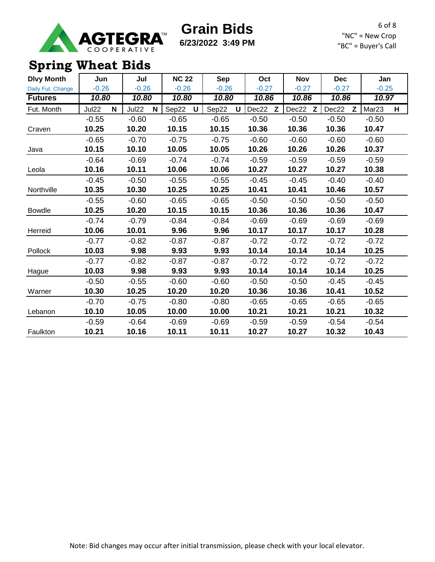

**6/23/2022 3:49 PM**

6 of 8 "NC" = New Crop "BC" = Buyer's Call

# **Spring Wheat Bids**

| <b>Dlvy Month</b> | Jun        | Jul        | <b>NC 22</b> | <b>Sep</b> | Oct            | <b>Nov</b> | <b>Dec</b> | Jan                    |
|-------------------|------------|------------|--------------|------------|----------------|------------|------------|------------------------|
| Daily Fut. Change | $-0.26$    | $-0.26$    | $-0.26$      | $-0.26$    | $-0.27$        | $-0.27$    | $-0.27$    | $-0.25$                |
| <b>Futures</b>    | 10.80      | 10.80      | 10.80        | 10.80      | $\sqrt{10.86}$ | 10.86      | 10.86      | 10.97                  |
| Fut. Month        | Jul22<br>N | Jul22<br>N | Sep22<br>U   | Sep22<br>U | Dec22<br>z     | Dec22<br>Z | Dec22<br>Z | Mar <sub>23</sub><br>н |
|                   | $-0.55$    | $-0.60$    | $-0.65$      | $-0.65$    | $-0.50$        | $-0.50$    | $-0.50$    | $-0.50$                |
| Craven            | 10.25      | 10.20      | 10.15        | 10.15      | 10.36          | 10.36      | 10.36      | 10.47                  |
|                   | $-0.65$    | $-0.70$    | $-0.75$      | $-0.75$    | $-0.60$        | $-0.60$    | $-0.60$    | $-0.60$                |
| Java              | 10.15      | 10.10      | 10.05        | 10.05      | 10.26          | 10.26      | 10.26      | 10.37                  |
|                   | $-0.64$    | $-0.69$    | $-0.74$      | $-0.74$    | $-0.59$        | $-0.59$    | $-0.59$    | $-0.59$                |
| Leola             | 10.16      | 10.11      | 10.06        | 10.06      | 10.27          | 10.27      | 10.27      | 10.38                  |
|                   | $-0.45$    | $-0.50$    | $-0.55$      | $-0.55$    | $-0.45$        | $-0.45$    | $-0.40$    | $-0.40$                |
| Northville        | 10.35      | 10.30      | 10.25        | 10.25      | 10.41          | 10.41      | 10.46      | 10.57                  |
|                   | $-0.55$    | $-0.60$    | $-0.65$      | $-0.65$    | $-0.50$        | $-0.50$    | $-0.50$    | $-0.50$                |
| <b>Bowdle</b>     | 10.25      | 10.20      | 10.15        | 10.15      | 10.36          | 10.36      | 10.36      | 10.47                  |
|                   | $-0.74$    | $-0.79$    | $-0.84$      | $-0.84$    | $-0.69$        | $-0.69$    | $-0.69$    | $-0.69$                |
| Herreid           | 10.06      | 10.01      | 9.96         | 9.96       | 10.17          | 10.17      | 10.17      | 10.28                  |
|                   | $-0.77$    | $-0.82$    | $-0.87$      | $-0.87$    | $-0.72$        | $-0.72$    | $-0.72$    | $-0.72$                |
| Pollock           | 10.03      | 9.98       | 9.93         | 9.93       | 10.14          | 10.14      | 10.14      | 10.25                  |
|                   | $-0.77$    | $-0.82$    | $-0.87$      | $-0.87$    | $-0.72$        | $-0.72$    | $-0.72$    | $-0.72$                |
| Hague             | 10.03      | 9.98       | 9.93         | 9.93       | 10.14          | 10.14      | 10.14      | 10.25                  |
|                   | $-0.50$    | $-0.55$    | $-0.60$      | $-0.60$    | $-0.50$        | $-0.50$    | $-0.45$    | $-0.45$                |
| Warner            | 10.30      | 10.25      | 10.20        | 10.20      | 10.36          | 10.36      | 10.41      | 10.52                  |
|                   | $-0.70$    | $-0.75$    | $-0.80$      | $-0.80$    | $-0.65$        | $-0.65$    | $-0.65$    | $-0.65$                |
| Lebanon           | 10.10      | 10.05      | 10.00        | 10.00      | 10.21          | 10.21      | 10.21      | 10.32                  |
|                   | $-0.59$    | $-0.64$    | $-0.69$      | $-0.69$    | $-0.59$        | $-0.59$    | $-0.54$    | $-0.54$                |
| Faulkton          | 10.21      | 10.16      | 10.11        | 10.11      | 10.27          | 10.27      | 10.32      | 10.43                  |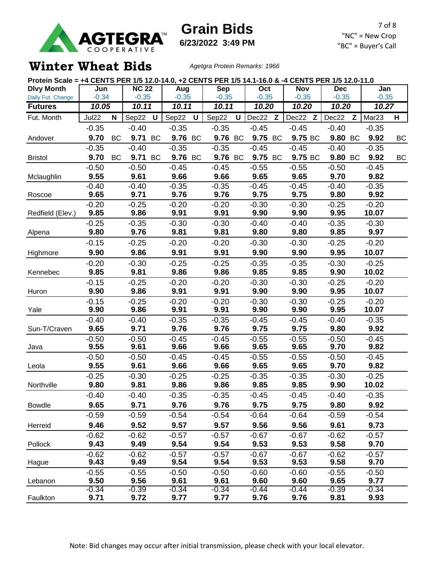

**6/23/2022 3:49 PM**

#### **Winter Wheat Bids** *Agetgra Protein Remarks: 1966*

|                   | Protein Scale = +4 CENTS PER 1/5 12.0-14.0, +2 CENTS PER 1/5 14.1-16.0 & -4 CENTS PER 1/5 12.0-11.0 |    |                           |              |                 |             |                 |              |                 |  |                 |                 |              |                  |    |
|-------------------|-----------------------------------------------------------------------------------------------------|----|---------------------------|--------------|-----------------|-------------|-----------------|--------------|-----------------|--|-----------------|-----------------|--------------|------------------|----|
| <b>Dlvy Month</b> | Jun                                                                                                 |    | $\overline{\text{NC}}$ 22 |              | Aug             |             | Sep             |              | Oct             |  | <b>Nov</b>      | <b>Dec</b>      |              | Jan              |    |
| Daily Fut. Change | $-0.34$                                                                                             |    | $-0.35$                   |              | $-0.35$         |             | $-0.35$         |              | $-0.35$         |  | $-0.35$         | $-0.35$         |              | $-0.35$          |    |
| <b>Futures</b>    | 10.05                                                                                               |    | 10.11                     |              | 10.11           |             | 10.11           |              | 10.20           |  | 10.20           | 10.20           |              | 10.27            |    |
| Fut. Month        | Jul22                                                                                               | N  | Sep22                     | $\mathsf{U}$ | Sep22           | $\mathsf U$ | Sep22           | $\mathsf{U}$ | Dec22 Z         |  | Dec22 Z         | Dec22           | $\mathsf{Z}$ | Mar23            | H  |
|                   | $-0.35$                                                                                             |    | $-0.40$                   |              | $-0.35$         |             | $-0.35$         |              | $-0.45$         |  | $-0.45$         | $-0.40$         |              | $-0.35$          |    |
| Andover           | 9.70                                                                                                | BC | 9.71 BC                   |              | 9.76 BC         |             | 9.76 BC         |              | 9.75 BC         |  | 9.75 BC         | 9.80 BC         |              | 9.92             | BC |
|                   | $-0.35$                                                                                             |    | $-0.40$                   |              | $-0.35$         |             | $-0.35$         |              | $-0.45$         |  | $-0.45$         | $-0.40$         |              | $-0.35$          |    |
| <b>Bristol</b>    | 9.70                                                                                                | BC | 9.71 BC                   |              | 9.76 BC         |             | 9.76 BC         |              | 9.75 BC         |  | 9.75 BC         | 9.80 BC         |              | 9.92             | ВC |
|                   | $-0.50$                                                                                             |    | $-0.50$                   |              | $-0.45$         |             | $-0.45$         |              | $-0.55$         |  | $-0.55$         | $-0.50$         |              | $-0.45$          |    |
| Mclaughlin        | 9.55                                                                                                |    | 9.61                      |              | 9.66            |             | 9.66            |              | 9.65            |  | 9.65            | 9.70            |              | 9.82             |    |
|                   | $-0.40$                                                                                             |    | $-0.40$                   |              | $-0.35$         |             | $-0.35$         |              | $-0.45$         |  | $-0.45$         | $-0.40$         |              | $-0.35$          |    |
| Roscoe            | 9.65                                                                                                |    | 9.71                      |              | 9.76            |             | 9.76            |              | 9.75            |  | 9.75            | 9.80            |              | 9.92             |    |
| Redfield (Elev.)  | $-0.20$<br>9.85                                                                                     |    | $-0.25$<br>9.86           |              | $-0.20$<br>9.91 |             | $-0.20$<br>9.91 |              | $-0.30$<br>9.90 |  | $-0.30$<br>9.90 | $-0.25$<br>9.95 |              | $-0.20$<br>10.07 |    |
|                   | $-0.25$                                                                                             |    | $-0.35$                   |              | $-0.30$         |             | $-0.30$         |              | $-0.40$         |  | $-0.40$         | $-0.35$         |              | $-0.30$          |    |
| Alpena            | 9.80                                                                                                |    | 9.76                      |              | 9.81            |             | 9.81            |              | 9.80            |  | 9.80            | 9.85            |              | 9.97             |    |
|                   | $-0.15$                                                                                             |    | $-0.25$                   |              | $-0.20$         |             | $-0.20$         |              | $-0.30$         |  | $-0.30$         | $-0.25$         |              | $-0.20$          |    |
| Highmore          | 9.90                                                                                                |    | 9.86                      |              | 9.91            |             | 9.91            |              | 9.90            |  | 9.90            | 9.95            |              | 10.07            |    |
|                   | $-0.20$                                                                                             |    | $-0.30$                   |              | $-0.25$         |             | $-0.25$         |              | $-0.35$         |  | $-0.35$         | $-0.30$         |              | $-0.25$          |    |
| Kennebec          | 9.85                                                                                                |    | 9.81                      |              | 9.86            |             | 9.86            |              | 9.85            |  | 9.85            | 9.90            |              | 10.02            |    |
|                   | $-0.15$                                                                                             |    | $-0.25$                   |              | $-0.20$         |             | $-0.20$         |              | $-0.30$         |  | $-0.30$         | $-0.25$         |              | $-0.20$          |    |
| Huron             | 9.90                                                                                                |    | 9.86                      |              | 9.91            |             | 9.91            |              | 9.90            |  | 9.90            | 9.95            |              | 10.07            |    |
|                   | $-0.15$                                                                                             |    | $-0.25$                   |              | $-0.20$         |             | $-0.20$         |              | $-0.30$         |  | $-0.30$         | $-0.25$         |              | $-0.20$          |    |
| Yale              | 9.90                                                                                                |    | 9.86                      |              | 9.91            |             | 9.91            |              | 9.90            |  | 9.90            | 9.95            |              | 10.07            |    |
|                   | $-0.40$                                                                                             |    | $-0.40$                   |              | $-0.35$         |             | $-0.35$         |              | $-0.45$         |  | $-0.45$         | $-0.40$         |              | $-0.35$          |    |
| Sun-T/Craven      | 9.65                                                                                                |    | 9.71                      |              | 9.76            |             | 9.76            |              | 9.75            |  | 9.75            | 9.80            |              | 9.92             |    |
|                   | $-0.50$                                                                                             |    | $-0.50$                   |              | $-0.45$         |             | $-0.45$         |              | $-0.55$         |  | $-0.55$         | $-0.50$         |              | $-0.45$          |    |
| Java              | 9.55                                                                                                |    | 9.61                      |              | 9.66            |             | 9.66            |              | 9.65            |  | 9.65            | 9.70            |              | 9.82             |    |
|                   | $-0.50$                                                                                             |    | $-0.50$                   |              | $-0.45$         |             | $-0.45$         |              | $-0.55$         |  | $-0.55$         | $-0.50$         |              | $-0.45$          |    |
| Leola             | 9.55                                                                                                |    | 9.61                      |              | 9.66            |             | 9.66            |              | 9.65            |  | 9.65            | 9.70            |              | 9.82             |    |
|                   | $-0.25$<br>9.80                                                                                     |    | $-0.30$                   |              | $-0.25$<br>9.86 |             | $-0.25$         |              | $-0.35$         |  | $-0.35$         | $-0.30$         |              | $-0.25$          |    |
| Northville        |                                                                                                     |    | 9.81                      |              |                 |             | 9.86            |              | 9.85            |  | 9.85            | 9.90            |              | 10.02            |    |
| <b>Bowdle</b>     | $-0.40$                                                                                             |    | $-0.40$                   |              | $-0.35$         |             | $-0.35$         |              | $-0.45$         |  | $-0.45$<br>9.75 | $-0.40$         |              | $-0.35$          |    |
|                   | 9.65                                                                                                |    | 9.71                      |              | 9.76            |             | 9.76            |              | 9.75            |  |                 | 9.80            |              | 9.92             |    |
|                   | $-0.59$                                                                                             |    | $-0.59$                   |              | $-0.54$         |             | $-0.54$         |              | $-0.64$         |  | $-0.64$         | $-0.59$         |              | $-0.54$          |    |
| Herreid           | 9.46                                                                                                |    | 9.52                      |              | 9.57            |             | 9.57            |              | 9.56            |  | 9.56            | 9.61            |              | 9.73             |    |
|                   | $-0.62$                                                                                             |    | $-0.62$                   |              | $-0.57$         |             | $-0.57$         |              | $-0.67$         |  | $-0.67$         | $-0.62$         |              | $-0.57$          |    |
| Pollock           | 9.43<br>$-0.62$                                                                                     |    | 9.49<br>$-0.62$           |              | 9.54<br>$-0.57$ |             | 9.54<br>$-0.57$ |              | 9.53            |  | 9.53            | 9.58<br>$-0.62$ |              | 9.70             |    |
| Hague             | 9.43                                                                                                |    | 9.49                      |              | 9.54            |             | 9.54            |              | $-0.67$<br>9.53 |  | $-0.67$<br>9.53 | 9.58            |              | $-0.57$<br>9.70  |    |
|                   | $-0.55$                                                                                             |    | $-0.55$                   |              | $-0.50$         |             | $-0.50$         |              | $-0.60$         |  | $-0.60$         | $-0.55$         |              | $-0.50$          |    |
| Lebanon           | 9.50                                                                                                |    | 9.56                      |              | 9.61            |             | 9.61            |              | 9.60            |  | 9.60            | 9.65            |              | 9.77             |    |
|                   | $-0.34$                                                                                             |    | $-0.39$                   |              | $-0.34$         |             | $-0.34$         |              | $-0.44$         |  | $-0.44$         | $-0.39$         |              | $-0.34$          |    |
| Faulkton          | 9.71                                                                                                |    | 9.72                      |              | 9.77            |             | 9.77            |              | 9.76            |  | 9.76            | 9.81            |              | 9.93             |    |